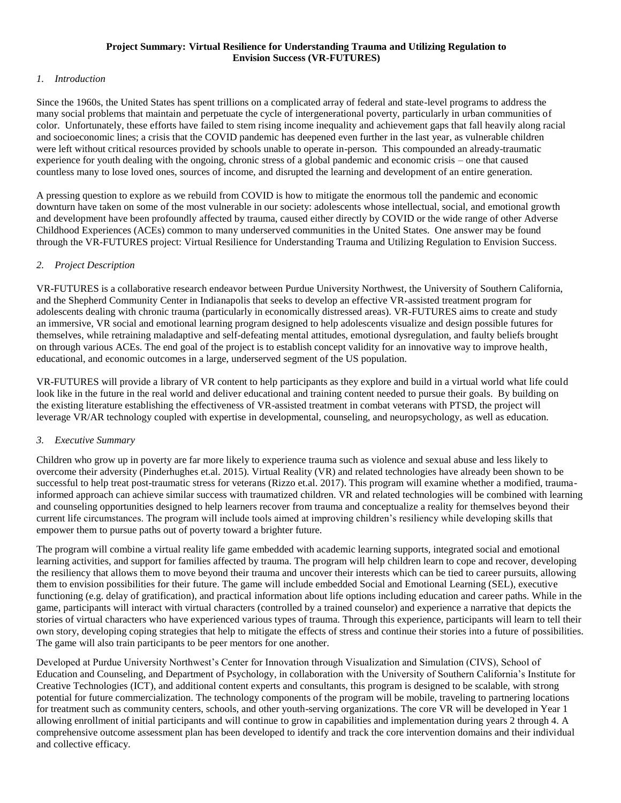#### **Project Summary: Virtual Resilience for Understanding Trauma and Utilizing Regulation to Envision Success (VR-FUTURES)**

#### *1. Introduction*

Since the 1960s, the United States has spent trillions on a complicated array of federal and state-level programs to address the many social problems that maintain and perpetuate the cycle of intergenerational poverty, particularly in urban communities of color. Unfortunately, these efforts have failed to stem rising income inequality and achievement gaps that fall heavily along racial and socioeconomic lines; a crisis that the COVID pandemic has deepened even further in the last year, as vulnerable children were left without critical resources provided by schools unable to operate in-person. This compounded an already-traumatic experience for youth dealing with the ongoing, chronic stress of a global pandemic and economic crisis – one that caused countless many to lose loved ones, sources of income, and disrupted the learning and development of an entire generation.

A pressing question to explore as we rebuild from COVID is how to mitigate the enormous toll the pandemic and economic downturn have taken on some of the most vulnerable in our society: adolescents whose intellectual, social, and emotional growth and development have been profoundly affected by trauma, caused either directly by COVID or the wide range of other Adverse Childhood Experiences (ACEs) common to many underserved communities in the United States. One answer may be found through the VR-FUTURES project: Virtual Resilience for Understanding Trauma and Utilizing Regulation to Envision Success.

#### *2. Project Description*

VR-FUTURES is a collaborative research endeavor between Purdue University Northwest, the University of Southern California, and the Shepherd Community Center in Indianapolis that seeks to develop an effective VR-assisted treatment program for adolescents dealing with chronic trauma (particularly in economically distressed areas). VR-FUTURES aims to create and study an immersive, VR social and emotional learning program designed to help adolescents visualize and design possible futures for themselves, while retraining maladaptive and self-defeating mental attitudes, emotional dysregulation, and faulty beliefs brought on through various ACEs. The end goal of the project is to establish concept validity for an innovative way to improve health, educational, and economic outcomes in a large, underserved segment of the US population.

VR-FUTURES will provide a library of VR content to help participants as they explore and build in a virtual world what life could look like in the future in the real world and deliver educational and training content needed to pursue their goals. By building on the existing literature establishing the effectiveness of VR-assisted treatment in combat veterans with PTSD, the project will leverage VR/AR technology coupled with expertise in developmental, counseling, and neuropsychology, as well as education.

#### *3. Executive Summary*

Children who grow up in poverty are far more likely to experience trauma such as violence and sexual abuse and less likely to overcome their adversity (Pinderhughes et.al. 2015). Virtual Reality (VR) and related technologies have already been shown to be successful to help treat post-traumatic stress for veterans (Rizzo et.al. 2017). This program will examine whether a modified, traumainformed approach can achieve similar success with traumatized children. VR and related technologies will be combined with learning and counseling opportunities designed to help learners recover from trauma and conceptualize a reality for themselves beyond their current life circumstances. The program will include tools aimed at improving children's resiliency while developing skills that empower them to pursue paths out of poverty toward a brighter future.

The program will combine a virtual reality life game embedded with academic learning supports, integrated social and emotional learning activities, and support for families affected by trauma. The program will help children learn to cope and recover, developing the resiliency that allows them to move beyond their trauma and uncover their interests which can be tied to career pursuits, allowing them to envision possibilities for their future. The game will include embedded Social and Emotional Learning (SEL), executive functioning (e.g. delay of gratification), and practical information about life options including education and career paths. While in the game, participants will interact with virtual characters (controlled by a trained counselor) and experience a narrative that depicts the stories of virtual characters who have experienced various types of trauma. Through this experience, participants will learn to tell their own story, developing coping strategies that help to mitigate the effects of stress and continue their stories into a future of possibilities. The game will also train participants to be peer mentors for one another.

Developed at Purdue University Northwest's Center for Innovation through Visualization and Simulation (CIVS), School of Education and Counseling, and Department of Psychology, in collaboration with the University of Southern California's Institute for Creative Technologies (ICT), and additional content experts and consultants, this program is designed to be scalable, with strong potential for future commercialization. The technology components of the program will be mobile, traveling to partnering locations for treatment such as community centers, schools, and other youth-serving organizations. The core VR will be developed in Year 1 allowing enrollment of initial participants and will continue to grow in capabilities and implementation during years 2 through 4. A comprehensive outcome assessment plan has been developed to identify and track the core intervention domains and their individual and collective efficacy.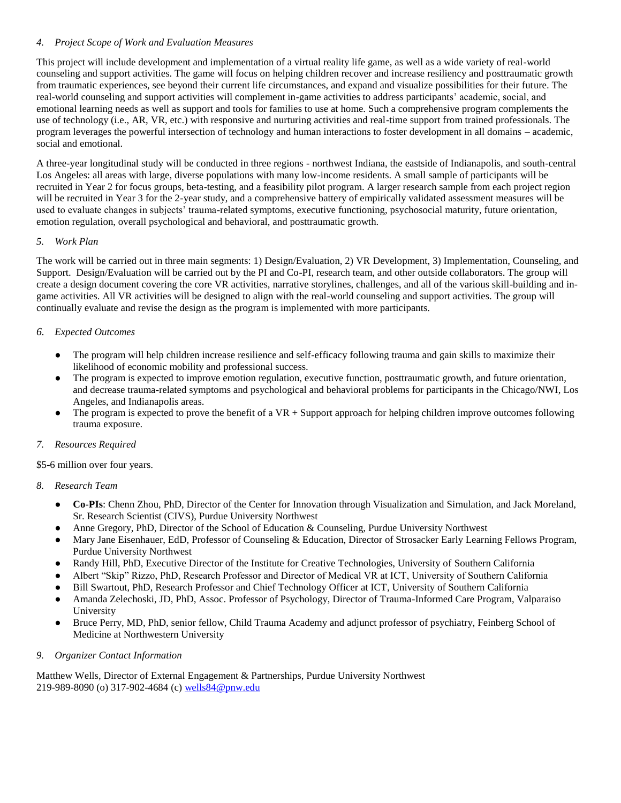#### *4. Project Scope of Work and Evaluation Measures*

This project will include development and implementation of a virtual reality life game, as well as a wide variety of real-world counseling and support activities. The game will focus on helping children recover and increase resiliency and posttraumatic growth from traumatic experiences, see beyond their current life circumstances, and expand and visualize possibilities for their future. The real-world counseling and support activities will complement in-game activities to address participants' academic, social, and emotional learning needs as well as support and tools for families to use at home. Such a comprehensive program complements the use of technology (i.e., AR, VR, etc.) with responsive and nurturing activities and real-time support from trained professionals. The program leverages the powerful intersection of technology and human interactions to foster development in all domains – academic, social and emotional.

A three-year longitudinal study will be conducted in three regions - northwest Indiana, the eastside of Indianapolis, and south-central Los Angeles: all areas with large, diverse populations with many low-income residents. A small sample of participants will be recruited in Year 2 for focus groups, beta-testing, and a feasibility pilot program. A larger research sample from each project region will be recruited in Year 3 for the 2-year study, and a comprehensive battery of empirically validated assessment measures will be used to evaluate changes in subjects' trauma-related symptoms, executive functioning, psychosocial maturity, future orientation, emotion regulation, overall psychological and behavioral, and posttraumatic growth.

### *5. Work Plan*

The work will be carried out in three main segments: 1) Design/Evaluation, 2) VR Development, 3) Implementation, Counseling, and Support. Design/Evaluation will be carried out by the PI and Co-PI, research team, and other outside collaborators. The group will create a design document covering the core VR activities, narrative storylines, challenges, and all of the various skill-building and ingame activities. All VR activities will be designed to align with the real-world counseling and support activities. The group will continually evaluate and revise the design as the program is implemented with more participants.

## *6. Expected Outcomes*

- The program will help children increase resilience and self-efficacy following trauma and gain skills to maximize their likelihood of economic mobility and professional success.
- The program is expected to improve emotion regulation, executive function, posttraumatic growth, and future orientation, and decrease trauma-related symptoms and psychological and behavioral problems for participants in the Chicago/NWI, Los Angeles, and Indianapolis areas.
- The program is expected to prove the benefit of a  $VR + Support$  approach for helping children improve outcomes following trauma exposure.

## *7. Resources Required*

\$5-6 million over four years.

#### *8. Research Team*

- **Co-PIs**: Chenn Zhou, PhD, Director of the Center for Innovation through Visualization and Simulation, and Jack Moreland, Sr. Research Scientist (CIVS), Purdue University Northwest
- Anne Gregory, PhD, Director of the School of Education & Counseling, Purdue University Northwest
- Mary Jane Eisenhauer, EdD, Professor of Counseling & Education, Director of Strosacker Early Learning Fellows Program, Purdue University Northwest
- Randy Hill, PhD, Executive Director of the Institute for Creative Technologies, University of Southern California
- Albert "Skip" Rizzo, PhD, Research Professor and Director of Medical VR at ICT, University of Southern California
- Bill Swartout, PhD, Research Professor and Chief Technology Officer at ICT, University of Southern California
- Amanda Zelechoski, JD, PhD, Assoc. Professor of Psychology, Director of Trauma-Informed Care Program, Valparaiso University
- Bruce Perry, MD, PhD, senior fellow, Child Trauma Academy and adjunct professor of psychiatry, Feinberg School of Medicine at Northwestern University

#### *9. Organizer Contact Information*

Matthew Wells, Director of External Engagement & Partnerships, Purdue University Northwest 219-989-8090 (o) 317-902-4684 (c) [wells84@pnw.edu](mailto:wells84@pnw.edu)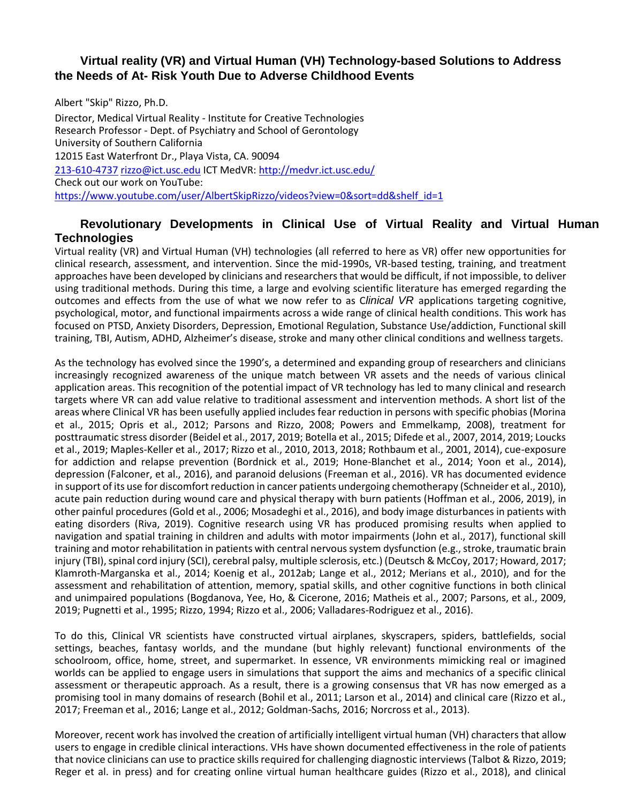## **Virtual reality (VR) and Virtual Human (VH) Technology-based Solutions to Address the Needs of At- Risk Youth Due to Adverse Childhood Events**

Albert "Skip" Rizzo, Ph.D. Director, Medical Virtual Reality - Institute for Creative Technologies Research Professor - Dept. of Psychiatry and School of Gerontology University of Southern California 12015 East Waterfront Dr., Playa Vista, CA. 90094 213-610-4737 [rizzo@ict.usc.edu](mailto:rizzo@ict.usc.edu) ICT MedVR:<http://medvr.ict.usc.edu/> Check out our work on YouTube: [https://www.youtube.com/user/AlbertSkipRizzo/videos?view=0&sort=dd&shelf\\_id=1](https://urldefense.proofpoint.com/v2/url?u=https-3A__www.youtube.com_user_AlbertSkipRizzo_videos-3Fview-3D0-26sort-3Ddd-26shelf-5Fid-3D1&d=DwMFaQ&c=clK7kQUTWtAVEOVIgvi0NU5BOUHhpN0H8p7CSfnc_gI&r=GsSqW2VwOOzYXfRX6qGBXhjmIEgjjjJmG3CXnHtBrFw&m=1K57CqFdLT4WrZwOec70rRMx_js7KSYbXTp_vnSHAEA&s=9BK_e-nOSPA1Kne2h8codwu-vJm_19-2zjB6wQ85ccs&e)

# **Revolutionary Developments in Clinical Use of Virtual Reality and Virtual Human Technologies**

Virtual reality (VR) and Virtual Human (VH) technologies (all referred to here as VR) offer new opportunities for clinical research, assessment, and intervention. Since the mid-1990s, VR-based testing, training, and treatment approaches have been developed by clinicians and researchers that would be difficult, if not impossible, to deliver using traditional methods. During this time, a large and evolving scientific literature has emerged regarding the outcomes and effects from the use of what we now refer to as C*linical VR* applications targeting cognitive, psychological, motor, and functional impairments across a wide range of clinical health conditions. This work has focused on PTSD, Anxiety Disorders, Depression, Emotional Regulation, Substance Use/addiction, Functional skill training, TBI, Autism, ADHD, Alzheimer's disease, stroke and many other clinical conditions and wellness targets.

As the technology has evolved since the 1990's, a determined and expanding group of researchers and clinicians increasingly recognized awareness of the unique match between VR assets and the needs of various clinical application areas. This recognition of the potential impact of VR technology has led to many clinical and research targets where VR can add value relative to traditional assessment and intervention methods. A short list of the areas where Clinical VR has been usefully applied includes fear reduction in persons with specific phobias (Morina et al., 2015; Opris et al., 2012; Parsons and Rizzo, 2008; Powers and Emmelkamp, 2008), treatment for posttraumatic stress disorder (Beidel et al., 2017, 2019; Botella et al., 2015; Difede et al., 2007, 2014, 2019; Loucks et al., 2019; Maples-Keller et al., 2017; Rizzo et al., 2010, 2013, 2018; Rothbaum et al., 2001, 2014), cue-exposure for addiction and relapse prevention (Bordnick et al., 2019; Hone-Blanchet et al., 2014; Yoon et al., 2014), depression (Falconer, et al., 2016), and paranoid delusions (Freeman et al., 2016). VR has documented evidence in support of its use for discomfort reduction in cancer patients undergoing chemotherapy (Schneider et al., 2010), acute pain reduction during wound care and physical therapy with burn patients (Hoffman et al., 2006, 2019), in other painful procedures (Gold et al., 2006; Mosadeghi et al., 2016), and body image disturbances in patients with eating disorders (Riva, 2019). Cognitive research using VR has produced promising results when applied to navigation and spatial training in children and adults with motor impairments (John et al., 2017), functional skill training and motor rehabilitation in patients with central nervous system dysfunction (e.g., stroke, traumatic brain injury (TBI), spinal cord injury (SCI), cerebral palsy, multiple sclerosis, etc.) (Deutsch & McCoy, 2017; Howard, 2017; Klamroth-Marganska et al., 2014; Koenig et al., 2012ab; Lange et al., 2012; Merians et al., 2010), and for the assessment and rehabilitation of attention, memory, spatial skills, and other cognitive functions in both clinical and unimpaired populations (Bogdanova, Yee, Ho, & Cicerone, 2016; Matheis et al., 2007; Parsons, et al., 2009, 2019; Pugnetti et al., 1995; Rizzo, 1994; Rizzo et al., 2006; Valladares-Rodriguez et al., 2016).

To do this, Clinical VR scientists have constructed virtual airplanes, skyscrapers, spiders, battlefields, social settings, beaches, fantasy worlds, and the mundane (but highly relevant) functional environments of the schoolroom, office, home, street, and supermarket. In essence, VR environments mimicking real or imagined worlds can be applied to engage users in simulations that support the aims and mechanics of a specific clinical assessment or therapeutic approach. As a result, there is a growing consensus that VR has now emerged as a promising tool in many domains of research (Bohil et al., 2011; Larson et al., 2014) and clinical care (Rizzo et al., 2017; Freeman et al., 2016; Lange et al., 2012; Goldman-Sachs, 2016; Norcross et al., 2013).

Moreover, recent work has involved the creation of artificially intelligent virtual human (VH) characters that allow users to engage in credible clinical interactions. VHs have shown documented effectiveness in the role of patients that novice clinicians can use to practice skills required for challenging diagnostic interviews (Talbot & Rizzo, 2019; Reger et al. in press) and for creating online virtual human healthcare guides (Rizzo et al., 2018), and clinical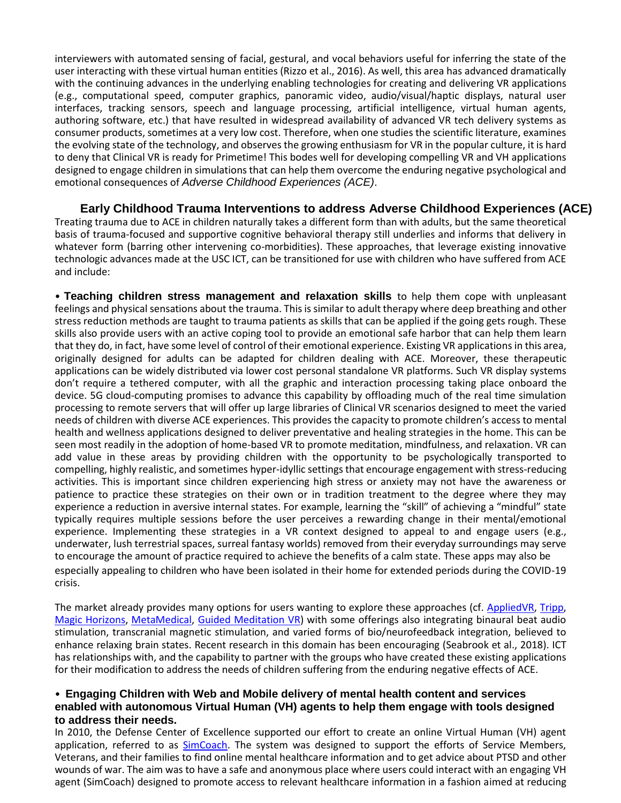interviewers with automated sensing of facial, gestural, and vocal behaviors useful for inferring the state of the user interacting with these virtual human entities (Rizzo et al., 2016). As well, this area has advanced dramatically with the continuing advances in the underlying enabling technologies for creating and delivering VR applications (e.g., computational speed, computer graphics, panoramic video, audio/visual/haptic displays, natural user interfaces, tracking sensors, speech and language processing, artificial intelligence, virtual human agents, authoring software, etc.) that have resulted in widespread availability of advanced VR tech delivery systems as consumer products, sometimes at a very low cost. Therefore, when one studies the scientific literature, examines the evolving state of the technology, and observes the growing enthusiasm for VR in the popular culture, it is hard to deny that Clinical VR is ready for Primetime! This bodes well for developing compelling VR and VH applications designed to engage children in simulations that can help them overcome the enduring negative psychological and emotional consequences of *Adverse Childhood Experiences (ACE)*.

## **Early Childhood Trauma Interventions to address Adverse Childhood Experiences (ACE)** Treating trauma due to ACE in children naturally takes a different form than with adults, but the same theoretical basis of trauma-focused and supportive cognitive behavioral therapy still underlies and informs that delivery in whatever form (barring other intervening co-morbidities). These approaches, that leverage existing innovative technologic advances made at the USC ICT, can be transitioned for use with children who have suffered from ACE and include:

• **Teaching children stress management and relaxation skills** to help them cope with unpleasant feelings and physical sensations about the trauma. This is similar to adult therapy where deep breathing and other stress reduction methods are taught to trauma patients as skills that can be applied if the going gets rough. These skills also provide users with an active coping tool to provide an emotional safe harbor that can help them learn that they do, in fact, have some level of control of their emotional experience. Existing VR applications in this area, originally designed for adults can be adapted for children dealing with ACE. Moreover, these therapeutic applications can be widely distributed via lower cost personal standalone VR platforms. Such VR display systems don't require a tethered computer, with all the graphic and interaction processing taking place onboard the device. 5G cloud-computing promises to advance this capability by offloading much of the real time simulation processing to remote servers that will offer up large libraries of Clinical VR scenarios designed to meet the varied needs of children with diverse ACE experiences. This provides the capacity to promote children's access to mental health and wellness applications designed to deliver preventative and healing strategies in the home. This can be seen most readily in the adoption of home-based VR to promote meditation, mindfulness, and relaxation. VR can add value in these areas by providing children with the opportunity to be psychologically transported to compelling, highly realistic, and sometimes hyper-idyllic settings that encourage engagement with stress-reducing activities. This is important since children experiencing high stress or anxiety may not have the awareness or patience to practice these strategies on their own or in tradition treatment to the degree where they may experience a reduction in aversive internal states. For example, learning the "skill" of achieving a "mindful" state typically requires multiple sessions before the user perceives a rewarding change in their mental/emotional experience. Implementing these strategies in a VR context designed to appeal to and engage users (e.g., underwater, lush terrestrial spaces, surreal fantasy worlds) removed from their everyday surroundings may serve to encourage the amount of practice required to achieve the benefits of a calm state. These apps may also be especially appealing to children who have been isolated in their home for extended periods during the COVID-19 crisis.

The market already provides many options for users wanting to explore these approaches (cf. [AppliedVR,](https://appliedvr.io/) [Tripp,](https://www.tripp.com/) [Magic Horizons,](https://magic-horizons.com/en/) [MetaMedical,](https://www.metamedicalsolutions.com/metamedicalvr/) [Guided Meditation VR\)](https://guidedmeditationvr.com/) with some offerings also integrating binaural beat audio stimulation, transcranial magnetic stimulation, and varied forms of bio/neurofeedback integration, believed to enhance relaxing brain states. Recent research in this domain has been encouraging (Seabrook et al., 2018). ICT has relationships with, and the capability to partner with the groups who have created these existing applications for their modification to address the needs of children suffering from the enduring negative effects of ACE.

## • **Engaging Children with Web and Mobile delivery of mental health content and services enabled with autonomous Virtual Human (VH) agents to help them engage with tools designed to address their needs.**

In 2010, the Defense Center of Excellence supported our effort to create an online Virtual Human (VH) agent application, referred to as [SimCoach. T](https://www.youtube.com/watch?v=PGYUqTvE6Jo&list=UUQrbzaW3x9wWoZPl4-l4GSA&index=1&feature=plpp_video)he system was designed to support the efforts of Service Members, Veterans, and their families to find online mental healthcare information and to get advice about PTSD and other wounds of war. The aim was to have a safe and anonymous place where users could interact with an engaging VH agent (SimCoach) designed to promote access to relevant healthcare information in a fashion aimed at reducing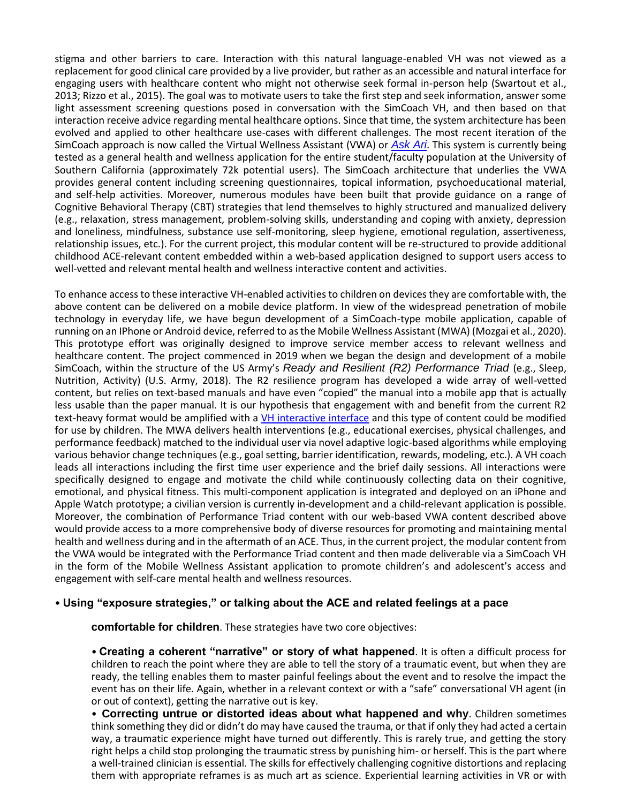stigma and other barriers to care. Interaction with this natural language-enabled VH was not viewed as a replacement for good clinical care provided by a live provider, but rather as an accessible and natural interface for engaging users with healthcare content who might not otherwise seek formal in-person help (Swartout et al., 2013; Rizzo et al., 2015). The goal was to motivate users to take the first step and seek information, answer some light assessment screening questions posed in conversation with the SimCoach VH, and then based on that interaction receive advice regarding mental healthcare options. Since that time, the system architecture has been evolved and applied to other healthcare use-cases with different challenges. The most recent iteration of the SimCoach approach is now called the Virtual Wellness Assistant (VWA) or *[Ask Ari](https://youtu.be/G5-QmzNRRQk)*[. T](https://youtu.be/G5-QmzNRRQk)his system is currently being tested as a general health and wellness application for the entire student/faculty population at the University of Southern California (approximately 72k potential users). The SimCoach architecture that underlies the VWA provides general content including screening questionnaires, topical information, psychoeducational material, and self-help activities. Moreover, numerous modules have been built that provide guidance on a range of Cognitive Behavioral Therapy (CBT) strategies that lend themselves to highly structured and manualized delivery (e.g., relaxation, stress management, problem-solving skills, understanding and coping with anxiety, depression and loneliness, mindfulness, substance use self-monitoring, sleep hygiene, emotional regulation, assertiveness, relationship issues, etc.). For the current project, this modular content will be re-structured to provide additional childhood ACE-relevant content embedded within a web-based application designed to support users access to well-vetted and relevant mental health and wellness interactive content and activities.

To enhance access to these interactive VH-enabled activities to children on devices they are comfortable with, the above content can be delivered on a mobile device platform. In view of the widespread penetration of mobile technology in everyday life, we have begun development of a SimCoach-type mobile application, capable of running on an IPhone or Android device, referred to as the Mobile Wellness Assistant (MWA) (Mozgai et al., 2020). This prototype effort was originally designed to improve service member access to relevant wellness and healthcare content. The project commenced in 2019 when we began the design and development of a mobile SimCoach, within the structure of the US Army's *Ready and Resilient (R2) Performance Triad* (e.g., Sleep, Nutrition, Activity) (U.S. Army, 2018). The R2 resilience program has developed a wide array of well-vetted content, but relies on text-based manuals and have even "copied" the manual into a mobile app that is actually less usable than the paper manual. It is our hypothesis that engagement with and benefit from the current R2 text-heavy format would be amplified with a [VH interactive interface](https://youtu.be/ZjD_zVB_57M) [a](https://youtu.be/ZjD_zVB_57M)nd this type of content could be modified for use by children. The MWA delivers health interventions (e.g., educational exercises, physical challenges, and performance feedback) matched to the individual user via novel adaptive logic-based algorithms while employing various behavior change techniques (e.g., goal setting, barrier identification, rewards, modeling, etc.). A VH coach leads all interactions including the first time user experience and the brief daily sessions. All interactions were specifically designed to engage and motivate the child while continuously collecting data on their cognitive, emotional, and physical fitness. This multi-component application is integrated and deployed on an iPhone and Apple Watch prototype; a civilian version is currently in-development and a child-relevant application is possible. Moreover, the combination of Performance Triad content with our web-based VWA content described above would provide access to a more comprehensive body of diverse resources for promoting and maintaining mental health and wellness during and in the aftermath of an ACE. Thus, in the current project, the modular content from the VWA would be integrated with the Performance Triad content and then made deliverable via a SimCoach VH in the form of the Mobile Wellness Assistant application to promote children's and adolescent's access and engagement with self-care mental health and wellness resources.

## • **Using "exposure strategies," or talking about the ACE and related feelings at a pace**

**comfortable for children**. These strategies have two core objectives:

• **Creating a coherent "narrative" or story of what happened**. It is often a difficult process for children to reach the point where they are able to tell the story of a traumatic event, but when they are ready, the telling enables them to master painful feelings about the event and to resolve the impact the event has on their life. Again, whether in a relevant context or with a "safe" conversational VH agent (in or out of context), getting the narrative out is key.

• **Correcting untrue or distorted ideas about what happened and why**. Children sometimes think something they did or didn't do may have caused the trauma, or that if only they had acted a certain way, a traumatic experience might have turned out differently. This is rarely true, and getting the story right helps a child stop prolonging the traumatic stress by punishing him- or herself. This is the part where a well-trained clinician is essential. The skills for effectively challenging cognitive distortions and replacing them with appropriate reframes is as much art as science. Experiential learning activities in VR or with